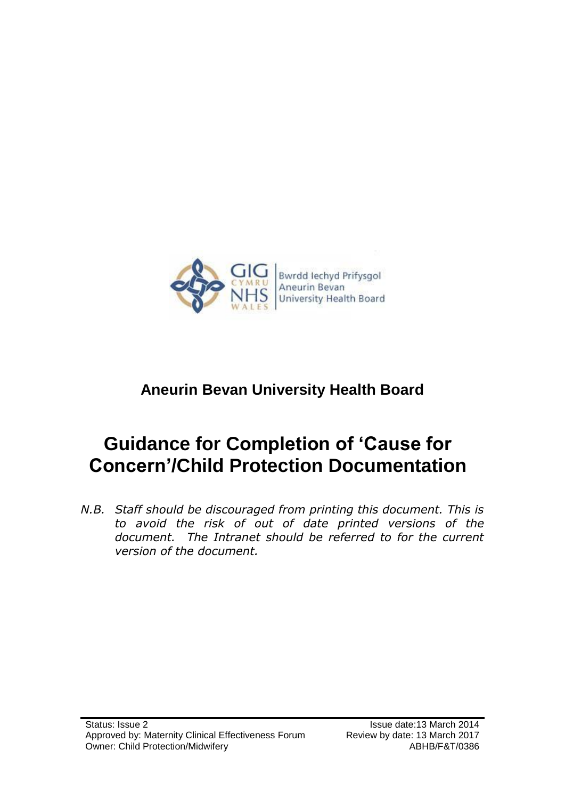

# **Aneurin Bevan University Health Board**

# **Guidance for Completion of 'Cause for Concern'/Child Protection Documentation**

*N.B. Staff should be discouraged from printing this document. This is to avoid the risk of out of date printed versions of the*  document. The Intranet should be referred to for the current *version of the document.*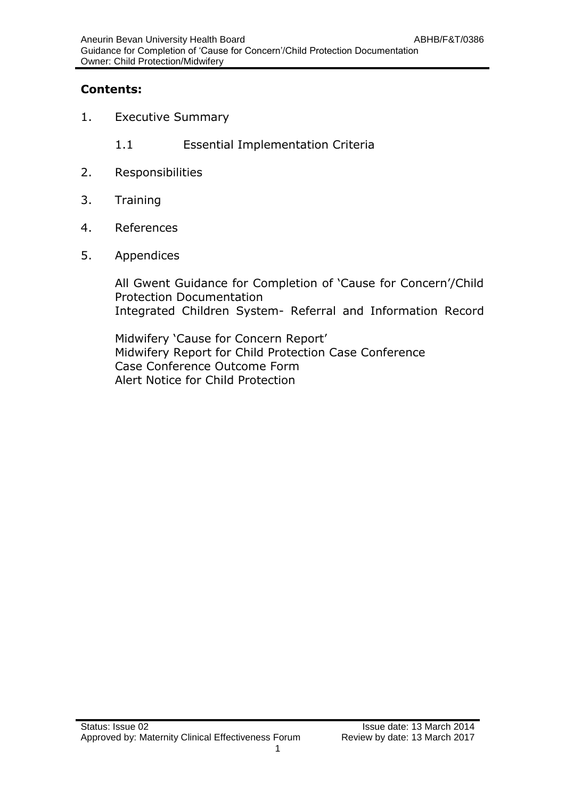# **Contents:**

- 1. Executive Summary
	- 1.1 Essential Implementation Criteria
- 2. Responsibilities
- 3. Training
- 4. References
- 5. Appendices

All Gwent Guidance for Completion of 'Cause for Concern'/Child Protection Documentation Integrated Children System- Referral and Information Record

Midwifery 'Cause for Concern Report' Midwifery Report for Child Protection Case Conference Case Conference Outcome Form Alert Notice for Child Protection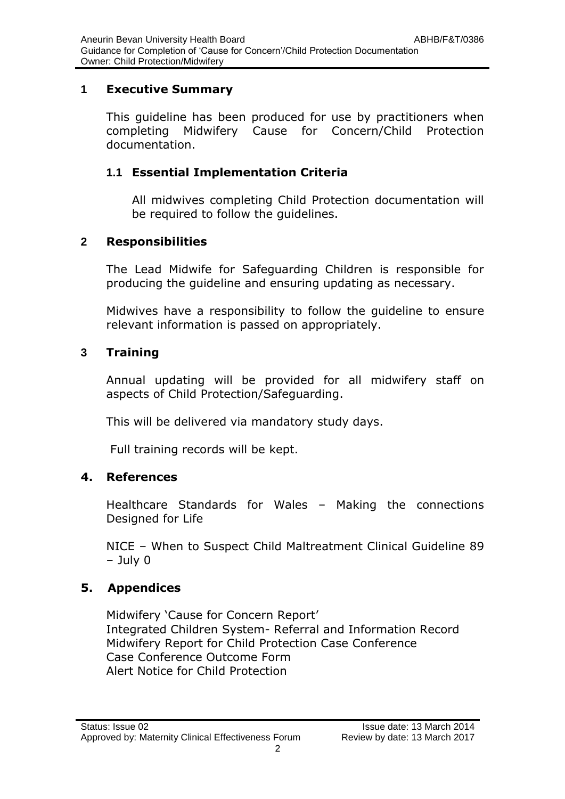# **1 Executive Summary**

This guideline has been produced for use by practitioners when completing Midwifery Cause for Concern/Child Protection documentation.

# **1.1 Essential Implementation Criteria**

All midwives completing Child Protection documentation will be required to follow the guidelines.

# **2 Responsibilities**

The Lead Midwife for Safeguarding Children is responsible for producing the guideline and ensuring updating as necessary.

Midwives have a responsibility to follow the guideline to ensure relevant information is passed on appropriately.

# **3 Training**

Annual updating will be provided for all midwifery staff on aspects of Child Protection/Safeguarding.

This will be delivered via mandatory study days.

Full training records will be kept.

# **4. References**

Healthcare Standards for Wales – Making the connections Designed for Life

NICE – When to Suspect Child Maltreatment Clinical Guideline 89 – July 0

# **5. Appendices**

Midwifery 'Cause for Concern Report' Integrated Children System- Referral and Information Record Midwifery Report for Child Protection Case Conference Case Conference Outcome Form Alert Notice for Child Protection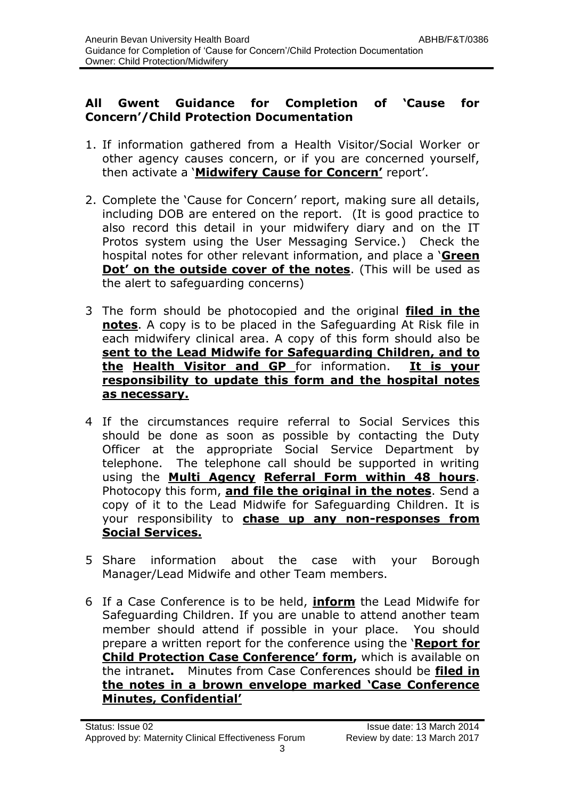## **All Gwent Guidance for Completion of 'Cause for Concern'/Child Protection Documentation**

- 1. If information gathered from a Health Visitor/Social Worker or other agency causes concern, or if you are concerned yourself, then activate a '**Midwifery Cause for Concern'** report'.
- 2. Complete the 'Cause for Concern' report, making sure all details, including DOB are entered on the report. (It is good practice to also record this detail in your midwifery diary and on the IT Protos system using the User Messaging Service.) Check the hospital notes for other relevant information, and place a '**Green Dot' on the outside cover of the notes**. (This will be used as the alert to safeguarding concerns)
- 3 The form should be photocopied and the original **filed in the notes**. A copy is to be placed in the Safeguarding At Risk file in each midwifery clinical area. A copy of this form should also be **sent to the Lead Midwife for Safeguarding Children, and to the Health Visitor and GP** for information. **It is your responsibility to update this form and the hospital notes as necessary.**
- 4 If the circumstances require referral to Social Services this should be done as soon as possible by contacting the Duty Officer at the appropriate Social Service Department by telephone. The telephone call should be supported in writing using the **Multi Agency Referral Form within 48 hours**. Photocopy this form, **and file the original in the notes**. Send a copy of it to the Lead Midwife for Safeguarding Children. It is your responsibility to **chase up any non-responses from Social Services.**
- 5 Share information about the case with your Borough Manager/Lead Midwife and other Team members.
- 6 If a Case Conference is to be held, **inform** the Lead Midwife for Safeguarding Children. If you are unable to attend another team member should attend if possible in your place. You should prepare a written report for the conference using the '**Report for Child Protection Case Conference' form,** which is available on the intranet**.** Minutes from Case Conferences should be **filed in the notes in a brown envelope marked 'Case Conference Minutes, Confidential'**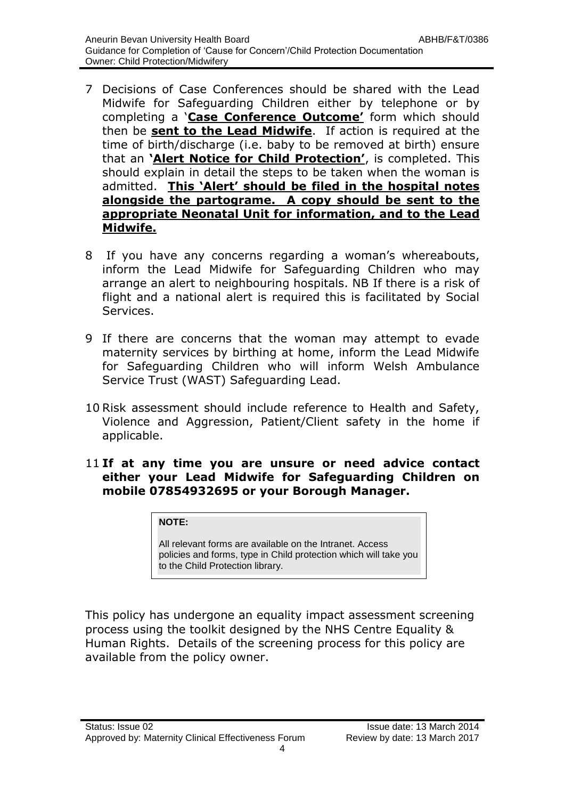- 7 Decisions of Case Conferences should be shared with the Lead Midwife for Safeguarding Children either by telephone or by completing a '**Case Conference Outcome'** form which should then be **sent to the Lead Midwife**. If action is required at the time of birth/discharge (i.e. baby to be removed at birth) ensure that an **'Alert Notice for Child Protection'**, is completed. This should explain in detail the steps to be taken when the woman is admitted. **This 'Alert' should be filed in the hospital notes alongside the partograme. A copy should be sent to the appropriate Neonatal Unit for information, and to the Lead Midwife.**
- 8 If you have any concerns regarding a woman's whereabouts, inform the Lead Midwife for Safeguarding Children who may arrange an alert to neighbouring hospitals. NB If there is a risk of flight and a national alert is required this is facilitated by Social Services.
- 9 If there are concerns that the woman may attempt to evade maternity services by birthing at home, inform the Lead Midwife for Safeguarding Children who will inform Welsh Ambulance Service Trust (WAST) Safeguarding Lead.
- 10 Risk assessment should include reference to Health and Safety, Violence and Aggression, Patient/Client safety in the home if applicable.

### 11 **If at any time you are unsure or need advice contact either your Lead Midwife for Safeguarding Children on mobile 07854932695 or your Borough Manager.**

### **NOTE:**

All relevant forms are available on the Intranet. Access policies and forms, type in Child protection which will take you to the Child Protection library.

This policy has undergone an equality impact assessment screening process using the toolkit designed by the NHS Centre Equality & Human Rights. Details of the screening process for this policy are available from the policy owner.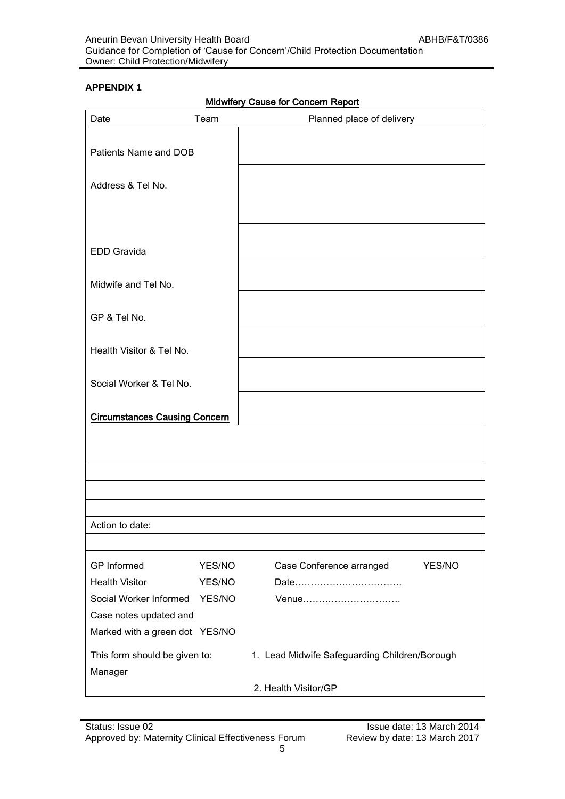| <b>Midwifery Cause for Concern Report</b> |  |  |
|-------------------------------------------|--|--|
|                                           |  |  |

| Date                                     | Team   | Planned place of delivery                     |
|------------------------------------------|--------|-----------------------------------------------|
| Patients Name and DOB                    |        |                                               |
| Address & Tel No.                        |        |                                               |
|                                          |        |                                               |
| <b>EDD Gravida</b>                       |        |                                               |
| Midwife and Tel No.                      |        |                                               |
| GP & Tel No.                             |        |                                               |
| Health Visitor & Tel No.                 |        |                                               |
| Social Worker & Tel No.                  |        |                                               |
| <b>Circumstances Causing Concern</b>     |        |                                               |
|                                          |        |                                               |
|                                          |        |                                               |
|                                          |        |                                               |
| Action to date:                          |        |                                               |
|                                          |        |                                               |
| GP Informed                              | YES/NO | Case Conference arranged<br>YES/NO            |
| <b>Health Visitor</b>                    | YES/NO |                                               |
| Social Worker Informed YES/NO            |        | Venue                                         |
| Case notes updated and                   |        |                                               |
| Marked with a green dot YES/NO           |        |                                               |
| This form should be given to:<br>Manager |        | 1. Lead Midwife Safeguarding Children/Borough |
|                                          |        | 2. Health Visitor/GP                          |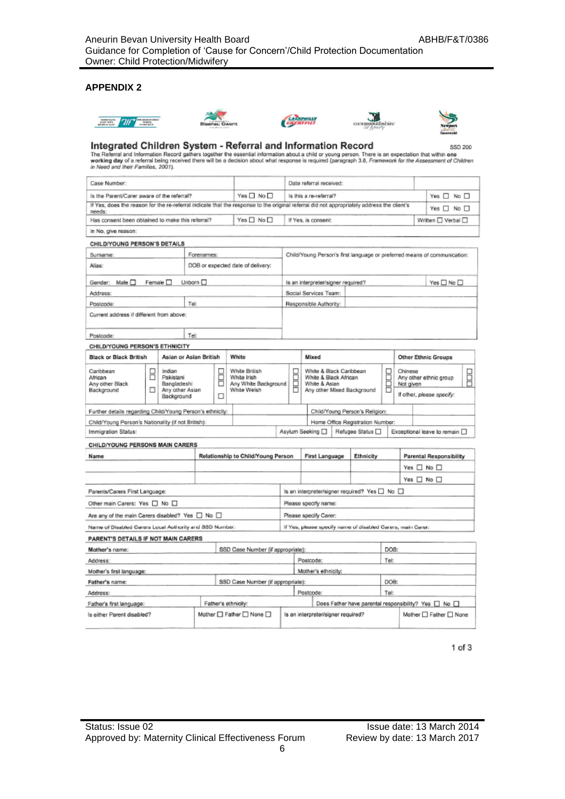









Integrated Children System - Referral and Information Record<br>The Referral and Information Record gathers together the essential information about a child or young person. There is an expectation that within one<br>working day

| Case Number:                                                                                                                               |                                                                                                                                                                          |                  | Date referral received:                                                                              |              |                                                                                  |                                                              |                                    |                        |  |                                                                          |      |  |  |                             |                                |  |
|--------------------------------------------------------------------------------------------------------------------------------------------|--------------------------------------------------------------------------------------------------------------------------------------------------------------------------|------------------|------------------------------------------------------------------------------------------------------|--------------|----------------------------------------------------------------------------------|--------------------------------------------------------------|------------------------------------|------------------------|--|--------------------------------------------------------------------------|------|--|--|-----------------------------|--------------------------------|--|
| is the Parent/Carer aware of the referral?                                                                                                 |                                                                                                                                                                          |                  |                                                                                                      |              | Yes □ No □                                                                       |                                                              |                                    | Is this a re-referral? |  |                                                                          |      |  |  | Yes $\Box$ No $\Box$        |                                |  |
| If Yes, does the reason for the re-referral indicate that the response to the original referral did not appropriately address the client's |                                                                                                                                                                          |                  |                                                                                                      |              |                                                                                  |                                                              |                                    |                        |  |                                                                          |      |  |  | Yes $\Box$ No $\Box$        |                                |  |
| needs:<br>Has consent been obtained to make this referral?                                                                                 |                                                                                                                                                                          |                  |                                                                                                      |              | Yes $\square$ No $\square$                                                       |                                                              |                                    | If Yes, is consent:    |  |                                                                          |      |  |  | Written UVerbal             |                                |  |
| In No, give reason:                                                                                                                        |                                                                                                                                                                          |                  |                                                                                                      |              |                                                                                  |                                                              |                                    |                        |  |                                                                          |      |  |  |                             |                                |  |
| CHILD/YOUNG PERSON'S DETAILS                                                                                                               |                                                                                                                                                                          |                  |                                                                                                      |              |                                                                                  |                                                              |                                    |                        |  |                                                                          |      |  |  |                             |                                |  |
| Surname:                                                                                                                                   |                                                                                                                                                                          |                  | Forenames:                                                                                           |              |                                                                                  |                                                              |                                    |                        |  | Child/Young Person's first language or preferred means of communication: |      |  |  |                             |                                |  |
| Alias:                                                                                                                                     |                                                                                                                                                                          |                  |                                                                                                      |              | DOB or expected date of delivery:                                                |                                                              |                                    |                        |  |                                                                          |      |  |  |                             |                                |  |
| Male □<br>Gender:                                                                                                                          |                                                                                                                                                                          | Female $\square$ | Unborn $\square$                                                                                     |              |                                                                                  |                                                              | Is an interpreter/signer required? |                        |  | Yes $\square$ No $\square$                                               |      |  |  |                             |                                |  |
| Address:                                                                                                                                   |                                                                                                                                                                          |                  |                                                                                                      |              |                                                                                  |                                                              |                                    | Social Services Team:  |  |                                                                          |      |  |  |                             |                                |  |
| Postcode:                                                                                                                                  |                                                                                                                                                                          |                  | Tel:                                                                                                 |              |                                                                                  |                                                              |                                    | Responsible Authority: |  |                                                                          |      |  |  |                             |                                |  |
| Current address if different from above:                                                                                                   |                                                                                                                                                                          |                  |                                                                                                      |              |                                                                                  |                                                              |                                    |                        |  |                                                                          |      |  |  |                             |                                |  |
| Postcode:                                                                                                                                  |                                                                                                                                                                          |                  | Tel:                                                                                                 |              |                                                                                  |                                                              |                                    |                        |  |                                                                          |      |  |  |                             |                                |  |
| CHILD/YOUNG PERSON'S ETHNICITY                                                                                                             |                                                                                                                                                                          |                  |                                                                                                      |              |                                                                                  |                                                              |                                    |                        |  |                                                                          |      |  |  |                             |                                |  |
| White<br><b>Black or Black British</b><br>Asian or Asian British                                                                           |                                                                                                                                                                          |                  |                                                                                                      | <b>Mixed</b> |                                                                                  |                                                              |                                    | Other Ethnic Groups    |  |                                                                          |      |  |  |                             |                                |  |
| Caribbean<br>African<br>Any other Black<br>Background                                                                                      | Indian<br>White British<br>2<br>Ë<br>H<br>Pakistani<br>White Irish<br>□<br>Bangladeshi<br>Any White Background<br>White Weish<br>п<br>Any other Asian<br>Background<br>п |                  | White & Black Caribbean<br>White & Black African<br>White & Asian<br>ñ<br>Any other Mixed Background |              | E<br>Chinese<br>Any other ethnic group<br>Not given<br>If other, please specify: |                                                              | B                                  |                        |  |                                                                          |      |  |  |                             |                                |  |
| Further details regarding Child/Young Person's ethnicity:                                                                                  |                                                                                                                                                                          |                  |                                                                                                      |              |                                                                                  |                                                              |                                    |                        |  | Child/Young Person's Religion:                                           |      |  |  |                             |                                |  |
| Child/Young Person's Nationality (if not British):                                                                                         |                                                                                                                                                                          |                  |                                                                                                      |              |                                                                                  |                                                              |                                    |                        |  | Home Office Registration Number:                                         |      |  |  |                             |                                |  |
| Immigration Status:                                                                                                                        |                                                                                                                                                                          |                  |                                                                                                      |              |                                                                                  |                                                              |                                    | Asylum Seeking □       |  | Refugee Status <sub>Q</sub>                                              |      |  |  | Exceptional leave to remain |                                |  |
| CHILD/YOUNG PERSONS MAIN CARERS                                                                                                            |                                                                                                                                                                          |                  |                                                                                                      |              |                                                                                  |                                                              |                                    |                        |  |                                                                          |      |  |  |                             |                                |  |
| Name                                                                                                                                       |                                                                                                                                                                          |                  |                                                                                                      |              | Relationship to Child/Young Person                                               |                                                              |                                    | <b>First Language</b>  |  | Ethnicity                                                                |      |  |  |                             | <b>Parental Responsibility</b> |  |
|                                                                                                                                            |                                                                                                                                                                          |                  |                                                                                                      |              |                                                                                  |                                                              |                                    |                        |  |                                                                          |      |  |  | Yes □ No □                  |                                |  |
|                                                                                                                                            |                                                                                                                                                                          |                  |                                                                                                      |              |                                                                                  |                                                              |                                    |                        |  |                                                                          |      |  |  | Yes $\square$ No $\square$  |                                |  |
| Parents/Carers First Language:                                                                                                             |                                                                                                                                                                          |                  |                                                                                                      |              |                                                                                  |                                                              |                                    |                        |  | Is an interpreter/signer required? Yes □ No □                            |      |  |  |                             |                                |  |
| Other main Carers: Yes [ No [                                                                                                              |                                                                                                                                                                          |                  |                                                                                                      |              |                                                                                  | Please specify name:                                         |                                    |                        |  |                                                                          |      |  |  |                             |                                |  |
| Are any of the main Carers disabled? Yes $\Box$ No $\Box$                                                                                  |                                                                                                                                                                          |                  |                                                                                                      |              |                                                                                  | Please specify Carer:                                        |                                    |                        |  |                                                                          |      |  |  |                             |                                |  |
| Name of Disabled Carers Local Authority and SSD Number.                                                                                    |                                                                                                                                                                          |                  |                                                                                                      |              |                                                                                  | If Yes, please specify name of disabled Carers, main Carer:  |                                    |                        |  |                                                                          |      |  |  |                             |                                |  |
| PARENT'S DETAILS IF NOT MAIN CARERS                                                                                                        |                                                                                                                                                                          |                  |                                                                                                      |              |                                                                                  |                                                              |                                    |                        |  |                                                                          |      |  |  |                             |                                |  |
| Mother's name:                                                                                                                             |                                                                                                                                                                          |                  |                                                                                                      |              | SSD Case Number (if appropriate):                                                |                                                              |                                    |                        |  |                                                                          | DOB: |  |  |                             |                                |  |
| Address:                                                                                                                                   |                                                                                                                                                                          |                  |                                                                                                      |              |                                                                                  |                                                              |                                    | Postcode:              |  |                                                                          | Tel: |  |  |                             |                                |  |
| Mother's first language:                                                                                                                   |                                                                                                                                                                          |                  |                                                                                                      |              |                                                                                  |                                                              |                                    | Mother's ethnicity:    |  |                                                                          |      |  |  |                             |                                |  |
| Father's name:                                                                                                                             |                                                                                                                                                                          |                  |                                                                                                      |              | SSD Case Number (if appropriate):                                                |                                                              |                                    |                        |  |                                                                          | DOB: |  |  |                             |                                |  |
| Address:                                                                                                                                   |                                                                                                                                                                          |                  |                                                                                                      |              |                                                                                  |                                                              |                                    | Postcode:              |  |                                                                          | Tel: |  |  |                             |                                |  |
| Father's first language:                                                                                                                   |                                                                                                                                                                          |                  |                                                                                                      |              | Father's ethnicity:                                                              |                                                              |                                    |                        |  | Does Father have parental responsibility? Yes [ No [                     |      |  |  |                             |                                |  |
| Is either Parent disabled?                                                                                                                 |                                                                                                                                                                          |                  |                                                                                                      |              | Mother □ Father □ None □                                                         | Is an interpreter/signer required?<br>Mother □ Father □ None |                                    |                        |  |                                                                          |      |  |  |                             |                                |  |

 $1$  of  $3$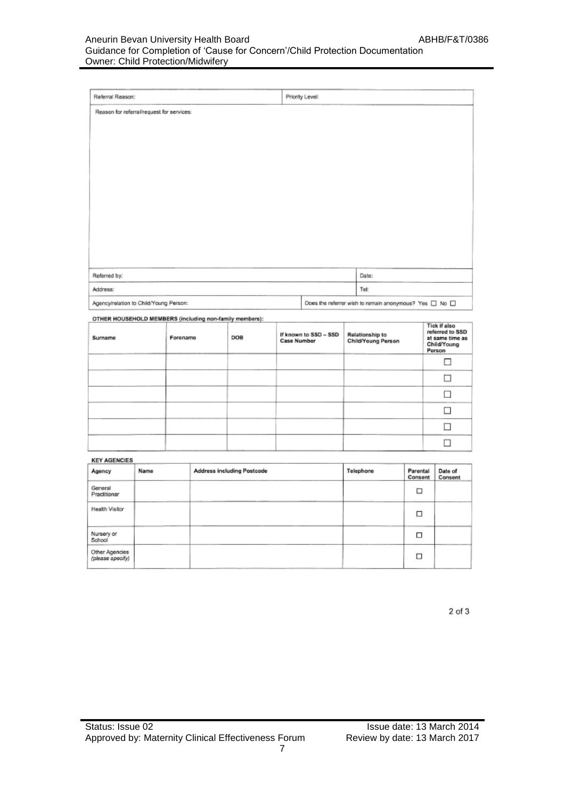### Aneurin Bevan University Health Board ABHB/F&T/0386 Guidance for Completion of 'Cause for Concern'/Child Protection Documentation Owner: Child Protection/Midwifery

| Referral Reason:                          | Priority Level:                                                  |
|-------------------------------------------|------------------------------------------------------------------|
| Reason for referral/request for services: |                                                                  |
|                                           |                                                                  |
|                                           |                                                                  |
|                                           |                                                                  |
|                                           |                                                                  |
|                                           |                                                                  |
|                                           |                                                                  |
|                                           |                                                                  |
|                                           |                                                                  |
|                                           |                                                                  |
|                                           |                                                                  |
|                                           |                                                                  |
| Referred by:                              | Date:                                                            |
| Address:                                  | Tel:                                                             |
| Agency/relation to Child/Young Person:    | Does the referrer wish to remain anonymous? Yes $\Box$ No $\Box$ |

| Surname | a comer constructions interestingly interesting concerning comercial companies.<br>Forename | DOB | If known to SSD - SSD<br><b>Case Number</b> | Relationship to<br>Child/Young Person | Tick if also<br>referred to SSD<br>at same time as<br>Child/Young<br>Person |
|---------|---------------------------------------------------------------------------------------------|-----|---------------------------------------------|---------------------------------------|-----------------------------------------------------------------------------|
|         |                                                                                             |     |                                             |                                       | ш                                                                           |
|         |                                                                                             |     |                                             |                                       |                                                                             |
|         |                                                                                             |     |                                             |                                       |                                                                             |
|         |                                                                                             |     |                                             |                                       |                                                                             |
|         |                                                                                             |     |                                             |                                       |                                                                             |
|         |                                                                                             |     |                                             |                                       |                                                                             |

**KEY AGENCIES** 

| Agency                             | Name | Address including Postcode | Telephone | Parental<br>Consent | Date of<br>Consent |
|------------------------------------|------|----------------------------|-----------|---------------------|--------------------|
| General<br>Practitioner            |      |                            |           | □                   |                    |
| Health Visitor                     |      |                            |           | □                   |                    |
| Nursery or<br>School               |      |                            |           | □                   |                    |
| Other Agencies<br>(please specify) |      |                            |           | □                   |                    |

 $2$  of  $3$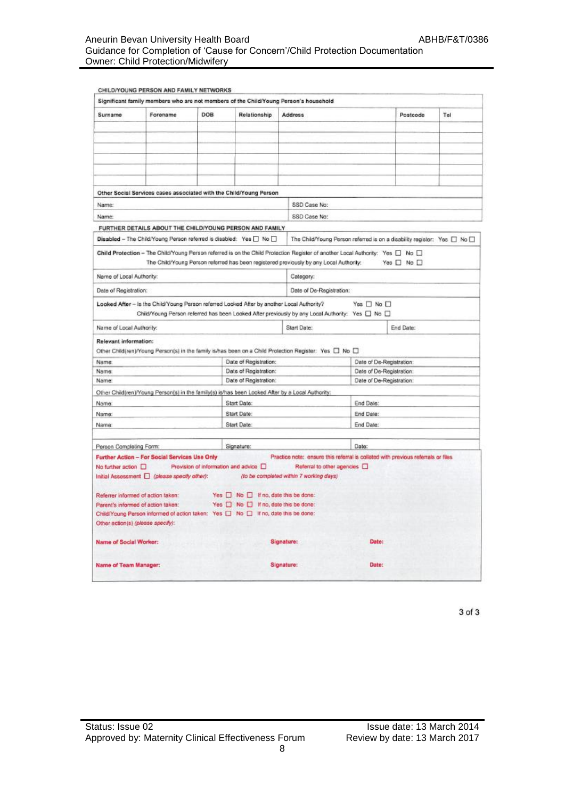### Aneurin Bevan University Health Board ABHB/F&T/0386 Guidance for Completion of 'Cause for Concern'/Child Protection Documentation Owner: Child Protection/Midwifery

| Surname                  | Forename                                                                                   | DOB | Relationship                                 | <b>Address</b>                                                                                          |                                                                                                                                 | Postcode                   | Tel |  |
|--------------------------|--------------------------------------------------------------------------------------------|-----|----------------------------------------------|---------------------------------------------------------------------------------------------------------|---------------------------------------------------------------------------------------------------------------------------------|----------------------------|-----|--|
|                          |                                                                                            |     |                                              |                                                                                                         |                                                                                                                                 |                            |     |  |
|                          |                                                                                            |     |                                              |                                                                                                         |                                                                                                                                 |                            |     |  |
|                          |                                                                                            |     |                                              |                                                                                                         |                                                                                                                                 |                            |     |  |
|                          |                                                                                            |     |                                              |                                                                                                         |                                                                                                                                 |                            |     |  |
|                          |                                                                                            |     |                                              |                                                                                                         |                                                                                                                                 |                            |     |  |
|                          |                                                                                            |     |                                              |                                                                                                         |                                                                                                                                 |                            |     |  |
|                          | Other Social Services cases associated with the Child/Young Person                         |     |                                              |                                                                                                         |                                                                                                                                 |                            |     |  |
| Name:                    |                                                                                            |     |                                              | SSD Case No:                                                                                            |                                                                                                                                 |                            |     |  |
| Name:                    |                                                                                            |     |                                              | SSD Case No:                                                                                            |                                                                                                                                 |                            |     |  |
|                          |                                                                                            |     |                                              |                                                                                                         |                                                                                                                                 |                            |     |  |
|                          | FURTHER DETAILS ABOUT THE CHILD/YOUNG PERSON AND FAMILY                                    |     |                                              |                                                                                                         |                                                                                                                                 |                            |     |  |
|                          | Disabled - The Child/Young Person referred is disabled: Yes [ No [ ]                       |     |                                              |                                                                                                         | The Child/Young Person referred is on a disability register: Yes [ ] No [ ]                                                     |                            |     |  |
|                          |                                                                                            |     |                                              |                                                                                                         | Child Protection - The Child/Young Person referred is on the Child Protection Register of another Local Authority: Yes [ No [ ] |                            |     |  |
|                          |                                                                                            |     |                                              | The Child/Young Person referred has been registered previously by any Local Authority:                  |                                                                                                                                 | Yes $\square$ No $\square$ |     |  |
| Name of Local Authority: |                                                                                            |     |                                              | Category:                                                                                               |                                                                                                                                 |                            |     |  |
| Date of Registration:    |                                                                                            |     |                                              | Date of De-Registration:                                                                                |                                                                                                                                 |                            |     |  |
|                          | Looked After - is the Child/Young Person referred Looked After by another Local Authority? |     |                                              |                                                                                                         | Yes □ No □                                                                                                                      |                            |     |  |
|                          |                                                                                            |     |                                              |                                                                                                         | Child/Young Person referred has been Looked After previously by any Local Authority: Yes [ No [ ]                               |                            |     |  |
| Name of Local Authority: |                                                                                            |     |                                              | Start Date:                                                                                             |                                                                                                                                 | End Date:                  |     |  |
|                          |                                                                                            |     |                                              |                                                                                                         |                                                                                                                                 |                            |     |  |
| Relevant information:    |                                                                                            |     |                                              | Other Child(ren)/Young Person(s) in the family is/has been on a Child Protection Register: Yes [ No [ ] |                                                                                                                                 |                            |     |  |
| Name:                    |                                                                                            |     | Date of Registration:                        |                                                                                                         | Date of De-Registration:                                                                                                        |                            |     |  |
| Name:                    |                                                                                            |     | Date of Registration:                        |                                                                                                         |                                                                                                                                 | Date of De-Registration:   |     |  |
| Name:                    |                                                                                            |     | Date of Registration:                        |                                                                                                         | Date of De-Registration:                                                                                                        |                            |     |  |
|                          |                                                                                            |     |                                              | Other Child(ren)/Young Person(s) in the family(s) is/has been Looked After by a Local Authority:        |                                                                                                                                 |                            |     |  |
| Name:                    |                                                                                            |     | Start Date:                                  |                                                                                                         | End Date:                                                                                                                       |                            |     |  |
| Name:                    |                                                                                            |     | Start Date:                                  |                                                                                                         | End Date:                                                                                                                       |                            |     |  |
| Name:                    |                                                                                            |     | Start Date:                                  | End Date:                                                                                               |                                                                                                                                 |                            |     |  |
|                          |                                                                                            |     |                                              |                                                                                                         |                                                                                                                                 |                            |     |  |
| Person Completing Form:  |                                                                                            |     | Signature:                                   |                                                                                                         | Date:                                                                                                                           |                            |     |  |
|                          | Further Action - For Social Services Use Only                                              |     |                                              |                                                                                                         | Practice note: ensure this referral is collated with previous referrals or files                                                |                            |     |  |
| No further action [      |                                                                                            |     | Provision of information and advice D        | Referral to other agencies [                                                                            |                                                                                                                                 |                            |     |  |
|                          | Initial Assessment   (please specify other):                                               |     |                                              | (to be completed within 7 working days)                                                                 |                                                                                                                                 |                            |     |  |
|                          |                                                                                            |     |                                              |                                                                                                         |                                                                                                                                 |                            |     |  |
|                          | Referrer informed of action taken:                                                         |     | $Yes \Box No \Box$ If no, date this be done: |                                                                                                         |                                                                                                                                 |                            |     |  |
|                          | Parent's informed of action taken:                                                         |     | Yes O No O If no, date this be done:         |                                                                                                         |                                                                                                                                 |                            |     |  |
|                          | Child/Young Person informed of action taken: Yes [ ] No [ ] If no, date this be done:      |     |                                              |                                                                                                         |                                                                                                                                 |                            |     |  |
|                          | Other action(s) (please specify):                                                          |     |                                              |                                                                                                         |                                                                                                                                 |                            |     |  |
| Name of Social Worker:   |                                                                                            |     |                                              | Signature:                                                                                              | <b>Date:</b>                                                                                                                    |                            |     |  |
|                          |                                                                                            |     |                                              |                                                                                                         |                                                                                                                                 |                            |     |  |
| Name of Team Manager:    |                                                                                            |     |                                              | Signature:                                                                                              | Date:                                                                                                                           |                            |     |  |

3 of 3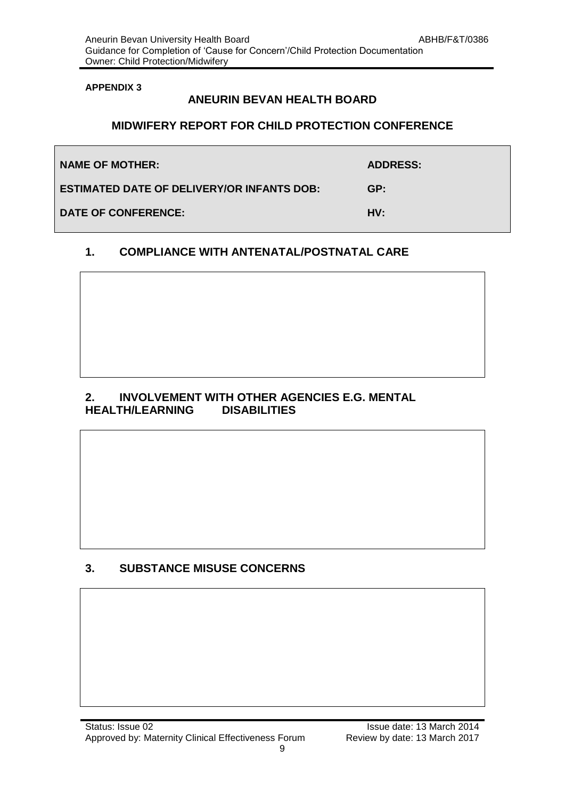### **ANEURIN BEVAN HEALTH BOARD**

### **MIDWIFERY REPORT FOR CHILD PROTECTION CONFERENCE**

| <b>NAME OF MOTHER:</b>                            | <b>ADDRESS:</b> |
|---------------------------------------------------|-----------------|
| <b>ESTIMATED DATE OF DELIVERY/OR INFANTS DOB:</b> | GP:             |
| <b>DATE OF CONFERENCE:</b>                        | HV:             |

### **1. COMPLIANCE WITH ANTENATAL/POSTNATAL CARE**

### **2. INVOLVEMENT WITH OTHER AGENCIES E.G. MENTAL HEALTH/LEARNING**

### **3. SUBSTANCE MISUSE CONCERNS**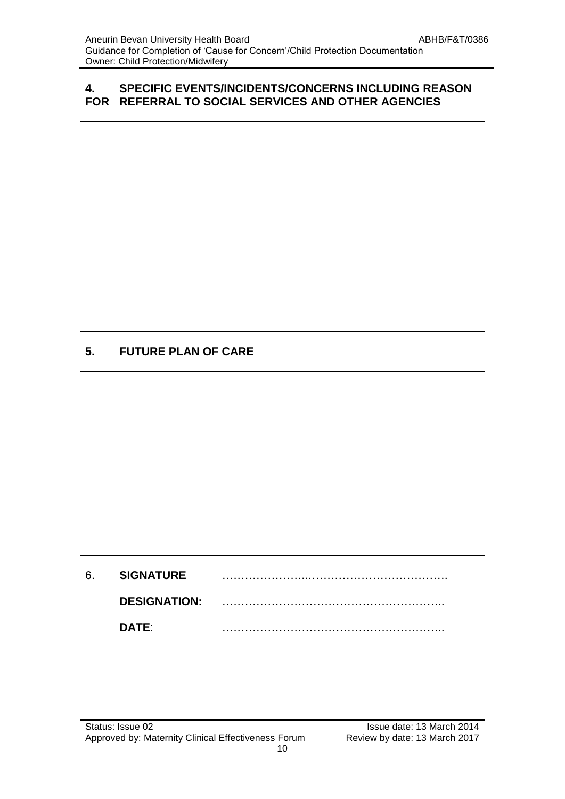### **4. SPECIFIC EVENTS/INCIDENTS/CONCERNS INCLUDING REASON FOR REFERRAL TO SOCIAL SERVICES AND OTHER AGENCIES**

# **5. FUTURE PLAN OF CARE**

| 6. | <b>SIGNATURE</b>    |  |
|----|---------------------|--|
|    | <b>DESIGNATION:</b> |  |
|    | DATE:               |  |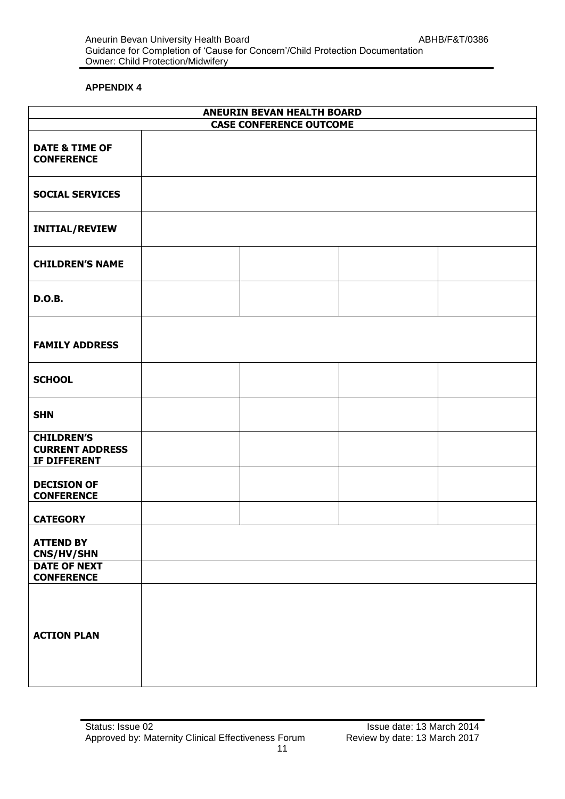|                                                             | <b>ANEURIN BEVAN HEALTH BOARD</b><br><b>CASE CONFERENCE OUTCOME</b> |  |
|-------------------------------------------------------------|---------------------------------------------------------------------|--|
| <b>DATE &amp; TIME OF</b><br><b>CONFERENCE</b>              |                                                                     |  |
| <b>SOCIAL SERVICES</b>                                      |                                                                     |  |
| <b>INITIAL/REVIEW</b>                                       |                                                                     |  |
| <b>CHILDREN'S NAME</b>                                      |                                                                     |  |
| <b>D.O.B.</b>                                               |                                                                     |  |
| <b>FAMILY ADDRESS</b>                                       |                                                                     |  |
| <b>SCHOOL</b>                                               |                                                                     |  |
| <b>SHN</b>                                                  |                                                                     |  |
| <b>CHILDREN'S</b><br><b>CURRENT ADDRESS</b><br>IF DIFFERENT |                                                                     |  |
| <b>DECISION OF</b><br><b>CONFERENCE</b>                     |                                                                     |  |
| <b>CATEGORY</b>                                             |                                                                     |  |
| <b>ATTEND BY</b><br>CNS/HV/SHN                              |                                                                     |  |
| <b>DATE OF NEXT</b><br><b>CONFERENCE</b>                    |                                                                     |  |
| <b>ACTION PLAN</b>                                          |                                                                     |  |